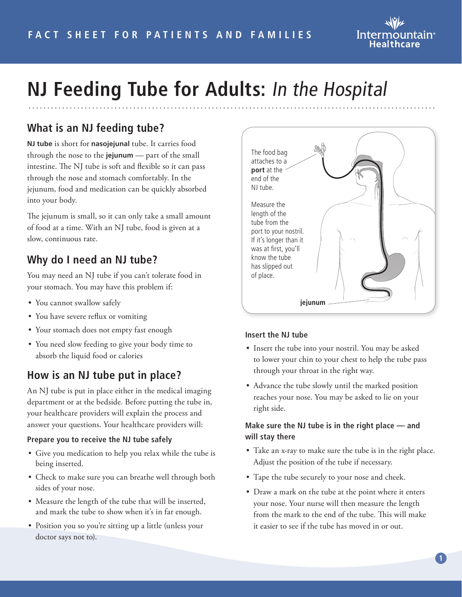

# **NJ Feeding Tube for Adults:** In the Hospital

# **What is an NJ feeding tube?**

**NJ tube** is short for **nasojejunal** tube. It carries food through the nose to the **jejunum** — part of the small intestine. The NJ tube is soft and flexible so it can pass through the nose and stomach comfortably. In the jejunum, food and medication can be quickly absorbed into your body.

The jejunum is small, so it can only take a small amount of food at a time. With an NJ tube, food is given at a slow, continuous rate.

## **Why do I need an NJ tube?**

You may need an NJ tube if you can't tolerate food in your stomach. You may have this problem if:

- You cannot swallow safely
- You have severe reflux or vomiting
- Your stomach does not empty fast enough
- You need slow feeding to give your body time to absorb the liquid food or calories

# **How is an NJ tube put in place?**

An NJ tube is put in place either in the medical imaging department or at the bedside. Before putting the tube in, your healthcare providers will explain the process and answer your questions. Your healthcare providers will:

#### **Prepare you to receive the NJ tube safely**

- Give you medication to help you relax while the tube is being inserted.
- Check to make sure you can breathe well through both sides of your nose.
- Measure the length of the tube that will be inserted, and mark the tube to show when it's in far enough.
- Position you so you're sitting up a little (unless your doctor says not to).



#### **Insert the NJ tube**

- Insert the tube into your nostril. You may be asked to lower your chin to your chest to help the tube pass through your throat in the right way.
- Advance the tube slowly until the marked position reaches your nose. You may be asked to lie on your right side.

#### **Make sure the NJ tube is in the right place — and will stay there**

- Take an x-ray to make sure the tube is in the right place. Adjust the position of the tube if necessary.
- Tape the tube securely to your nose and cheek.
- Draw a mark on the tube at the point where it enters your nose. Your nurse will then measure the length from the mark to the end of the tube. This will make it easier to see if the tube has moved in or out.